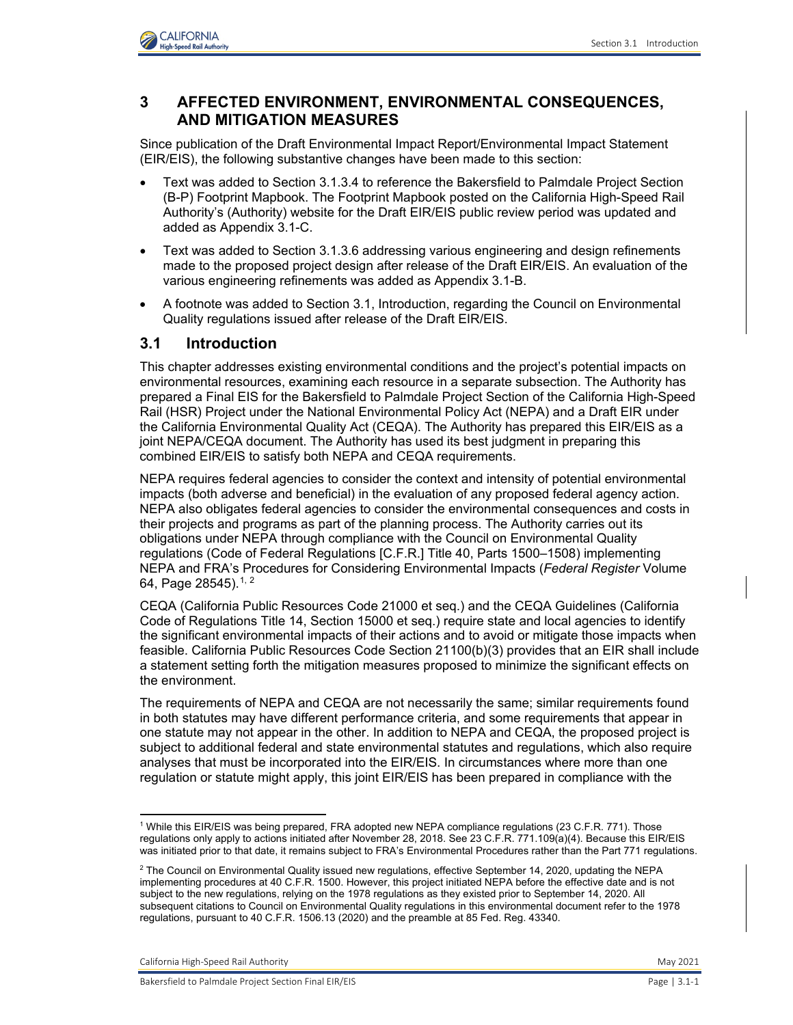

# **3 AFFECTED ENVIRONMENT, ENVIRONMENTAL CONSEQUENCES, AND MITIGATION MEASURES**

Since publication of the Draft Environmental Impact Report/Environmental Impact Statement (EIR/EIS), the following substantive changes have been made to this section:

- Text was added to Section 3.1.3.4 to reference the Bakersfield to Palmdale Project Section (B-P) Footprint Mapbook. The Footprint Mapbook posted on the California High-Speed Rail Authority's (Authority) website for the Draft EIR/EIS public review period was updated and added as Appendix 3.1-C.
- Text was added to Section 3.1.3.6 addressing various engineering and design refinements made to the proposed project design after release of the Draft EIR/EIS. An evaluation of the various engineering refinements was added as Appendix 3.1-B.
- A footnote was added to Section 3.1, Introduction, regarding the Council on Environmental Quality regulations issued after release of the Draft EIR/EIS.

## **3.1 Introduction**

This chapter addresses existing environmental conditions and the project's potential impacts on environmental resources, examining each resource in a separate subsection. The Authority has prepared a Final EIS for the Bakersfield to Palmdale Project Section of the California High-Speed Rail (HSR) Project under the National Environmental Policy Act (NEPA) and a Draft EIR under the California Environmental Quality Act (CEQA). The Authority has prepared this EIR/EIS as a joint NEPA/CEQA document. The Authority has used its best judgment in preparing this combined EIR/EIS to satisfy both NEPA and CEQA requirements.

NEPA requires federal agencies to consider the context and intensity of potential environmental impacts (both adverse and beneficial) in the evaluation of any proposed federal agency action. NEPA also obligates federal agencies to consider the environmental consequences and costs in their projects and programs as part of the planning process. The Authority carries out its obligations under NEPA through compliance with the Council on Environmental Quality regulations (Code of Federal Regulations [C.F.R.] Title 40, Parts 1500–1508) implementing NEPA and FRA's Procedures for Considering Environmental Impacts (*Federal Register* Volume 64, Page [2](#page-0-1)8545).  $1, 2$  $1, 2$ 

CEQA (California Public Resources Code 21000 et seq.) and the CEQA Guidelines (California Code of Regulations Title 14, Section 15000 et seq.) require state and local agencies to identify the significant environmental impacts of their actions and to avoid or mitigate those impacts when feasible. California Public Resources Code Section 21100(b)(3) provides that an EIR shall include a statement setting forth the mitigation measures proposed to minimize the significant effects on the environment.

The requirements of NEPA and CEQA are not necessarily the same; similar requirements found in both statutes may have different performance criteria, and some requirements that appear in one statute may not appear in the other. In addition to NEPA and CEQA, the proposed project is subject to additional federal and state environmental statutes and regulations, which also require analyses that must be incorporated into the EIR/EIS. In circumstances where more than one regulation or statute might apply, this joint EIR/EIS has been prepared in compliance with the

California High-Speed Rail Authority May 2021

<span id="page-0-0"></span><sup>1</sup> While this EIR/EIS was being prepared, FRA adopted new NEPA compliance regulations (23 C.F.R. 771). Those regulations only apply to actions initiated after November 28, 2018. See 23 C.F.R. 771.109(a)(4). Because this EIR/EIS was initiated prior to that date, it remains subject to FRA's Environmental Procedures rather than the Part 771 regulations.

<span id="page-0-1"></span> $^2$  The Council on Environmental Quality issued new regulations, effective September 14, 2020, updating the NEPA  $\,$ implementing procedures at 40 C.F.R. 1500. However, this project initiated NEPA before the effective date and is not subject to the new regulations, relying on the 1978 regulations as they existed prior to September 14, 2020. All subsequent citations to Council on Environmental Quality regulations in this environmental document refer to the 1978 regulations, pursuant to 40 C.F.R. 1506.13 (2020) and the preamble at 85 Fed. Reg. 43340.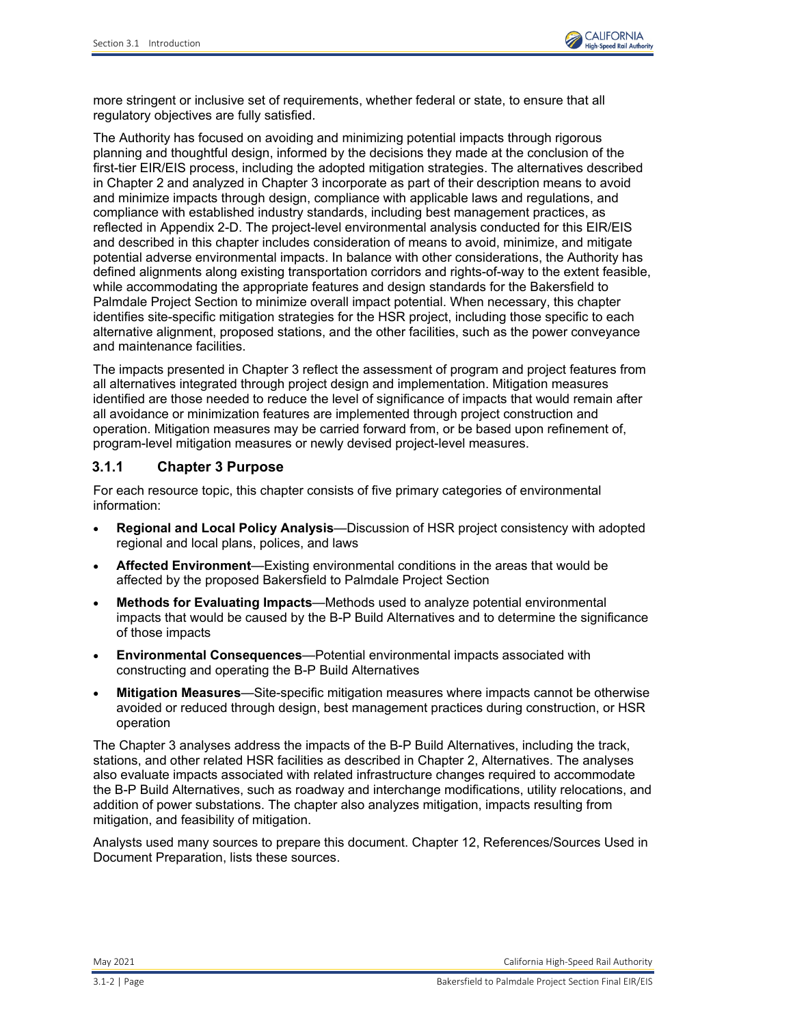

more stringent or inclusive set of requirements, whether federal or state, to ensure that all regulatory objectives are fully satisfied.

The Authority has focused on avoiding and minimizing potential impacts through rigorous planning and thoughtful design, informed by the decisions they made at the conclusion of the first-tier EIR/EIS process, including the adopted mitigation strategies. The alternatives described in Chapter 2 and analyzed in Chapter 3 incorporate as part of their description means to avoid and minimize impacts through design, compliance with applicable laws and regulations, and compliance with established industry standards, including best management practices, as reflected in Appendix 2-D. The project-level environmental analysis conducted for this EIR/EIS and described in this chapter includes consideration of means to avoid, minimize, and mitigate potential adverse environmental impacts. In balance with other considerations, the Authority has defined alignments along existing transportation corridors and rights-of-way to the extent feasible, while accommodating the appropriate features and design standards for the Bakersfield to Palmdale Project Section to minimize overall impact potential. When necessary, this chapter identifies site-specific mitigation strategies for the HSR project, including those specific to each alternative alignment, proposed stations, and the other facilities, such as the power conveyance and maintenance facilities.

The impacts presented in Chapter 3 reflect the assessment of program and project features from all alternatives integrated through project design and implementation. Mitigation measures identified are those needed to reduce the level of significance of impacts that would remain after all avoidance or minimization features are implemented through project construction and operation. Mitigation measures may be carried forward from, or be based upon refinement of, program-level mitigation measures or newly devised project-level measures.

### **3.1.1 Chapter 3 Purpose**

For each resource topic, this chapter consists of five primary categories of environmental information:

- **Regional and Local Policy Analysis**—Discussion of HSR project consistency with adopted regional and local plans, polices, and laws
- **Affected Environment**—Existing environmental conditions in the areas that would be affected by the proposed Bakersfield to Palmdale Project Section
- **Methods for Evaluating Impacts**—Methods used to analyze potential environmental impacts that would be caused by the B-P Build Alternatives and to determine the significance of those impacts
- **Environmental Consequences**—Potential environmental impacts associated with constructing and operating the B-P Build Alternatives
- **Mitigation Measures**—Site-specific mitigation measures where impacts cannot be otherwise avoided or reduced through design, best management practices during construction, or HSR operation

The Chapter 3 analyses address the impacts of the B-P Build Alternatives, including the track, stations, and other related HSR facilities as described in Chapter 2, Alternatives. The analyses also evaluate impacts associated with related infrastructure changes required to accommodate the B-P Build Alternatives, such as roadway and interchange modifications, utility relocations, and addition of power substations. The chapter also analyzes mitigation, impacts resulting from mitigation, and feasibility of mitigation.

Analysts used many sources to prepare this document. Chapter 12, References/Sources Used in Document Preparation, lists these sources.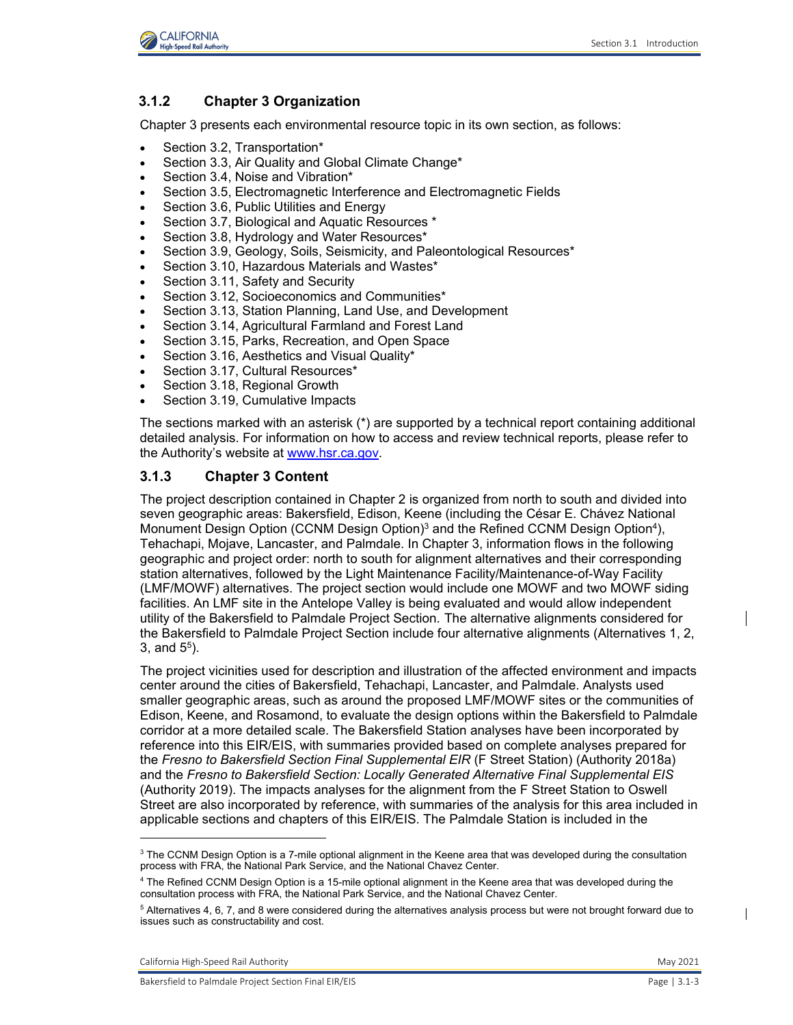

# **3.1.2 Chapter 3 Organization**

Chapter 3 presents each environmental resource topic in its own section, as follows:

- Section 3.2, Transportation\*
- Section 3.3, Air Quality and Global Climate Change\*
- Section 3.4, Noise and Vibration\*
- Section 3.5, Electromagnetic Interference and Electromagnetic Fields
- Section 3.6, Public Utilities and Energy
- Section 3.7, Biological and Aquatic Resources \*
- Section 3.8, Hydrology and Water Resources\*
- Section 3.9, Geology, Soils, Seismicity, and Paleontological Resources\*
- Section 3.10, Hazardous Materials and Wastes\*
- Section 3.11, Safety and Security
- Section 3.12, Socioeconomics and Communities\*
- Section 3.13, Station Planning, Land Use, and Development
- Section 3.14, Agricultural Farmland and Forest Land
- Section 3.15, Parks, Recreation, and Open Space
- Section 3.16, Aesthetics and Visual Quality\*
- Section 3.17, Cultural Resources\*
- Section 3.18, Regional Growth
- Section 3.19, Cumulative Impacts

The sections marked with an asterisk (\*) are supported by a technical report containing additional detailed analysis. For information on how to access and review technical reports, please refer to the Authority's website at [www.hsr.ca.gov.](http://www.hsr.ca.gov/)

## **3.1.3 Chapter 3 Content**

The project description contained in Chapter 2 is organized from north to south and divided into seven geographic areas: Bakersfield, Edison, Keene (including the César E. Chávez National Monument Design Option (CCNM Design Option)<sup>[3](#page-2-0)</sup> and the Refined CCNM Design Option<sup>[4](#page-2-1)</sup>), Tehachapi, Mojave, Lancaster, and Palmdale. In Chapter 3, information flows in the following geographic and project order: north to south for alignment alternatives and their corresponding station alternatives, followed by the Light Maintenance Facility/Maintenance-of-Way Facility (LMF/MOWF) alternatives. The project section would include one MOWF and two MOWF siding facilities. An LMF site in the Antelope Valley is being evaluated and would allow independent utility of the Bakersfield to Palmdale Project Section. The alternative alignments considered for the Bakersfield to Palmdale Project Section include four alternative alignments (Alternatives 1, 2, 3, and  $5^5$ ).

The project vicinities used for description and illustration of the affected environment and impacts center around the cities of Bakersfield, Tehachapi, Lancaster, and Palmdale. Analysts used smaller geographic areas, such as around the proposed LMF/MOWF sites or the communities of Edison, Keene, and Rosamond, to evaluate the design options within the Bakersfield to Palmdale corridor at a more detailed scale. The Bakersfield Station analyses have been incorporated by reference into this EIR/EIS, with summaries provided based on complete analyses prepared for the *Fresno to Bakersfield Section Final Supplemental EIR* (F Street Station) (Authority 2018a) and the *Fresno to Bakersfield Section: Locally Generated Alternative Final Supplemental EIS* (Authority 2019). The impacts analyses for the alignment from the F Street Station to Oswell Street are also incorporated by reference, with summaries of the analysis for this area included in applicable sections and chapters of this EIR/EIS. The Palmdale Station is included in the

<span id="page-2-0"></span><sup>&</sup>lt;sup>3</sup> The CCNM Design Option is a 7-mile optional alignment in the Keene area that was developed during the consultation process with FRA, the National Park Service, and the National Chavez Center.

<span id="page-2-1"></span><sup>4</sup> The Refined CCNM Design Option is a 15-mile optional alignment in the Keene area that was developed during the consultation process with FRA, the National Park Service, and the National Chavez Center.

<sup>&</sup>lt;sup>5</sup> Alternatives 4, 6, 7, and 8 were considered during the alternatives analysis process but were not brought forward due to issues such as constructability and cost.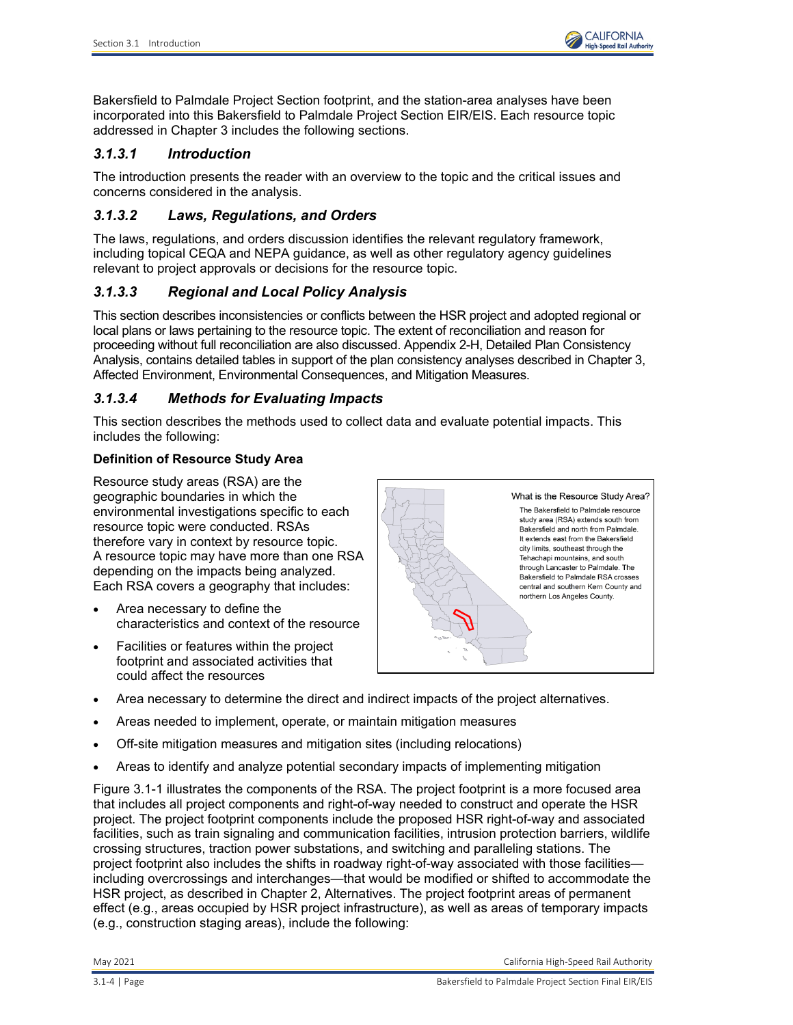

Bakersfield to Palmdale Project Section footprint, and the station-area analyses have been incorporated into this Bakersfield to Palmdale Project Section EIR/EIS. Each resource topic addressed in Chapter 3 includes the following sections.

# *3.1.3.1 Introduction*

The introduction presents the reader with an overview to the topic and the critical issues and concerns considered in the analysis.

### *3.1.3.2 Laws, Regulations, and Orders*

The laws, regulations, and orders discussion identifies the relevant regulatory framework, including topical CEQA and NEPA guidance, as well as other regulatory agency guidelines relevant to project approvals or decisions for the resource topic.

# *3.1.3.3 Regional and Local Policy Analysis*

This section describes inconsistencies or conflicts between the HSR project and adopted regional or local plans or laws pertaining to the resource topic. The extent of reconciliation and reason for proceeding without full reconciliation are also discussed. Appendix 2-H, Detailed Plan Consistency Analysis, contains detailed tables in support of the plan consistency analyses described in Chapter 3, Affected Environment, Environmental Consequences, and Mitigation Measures.

## *3.1.3.4 Methods for Evaluating Impacts*

This section describes the methods used to collect data and evaluate potential impacts. This includes the following:

## **Definition of Resource Study Area**

Resource study areas (RSA) are the geographic boundaries in which the environmental investigations specific to each resource topic were conducted. RSAs therefore vary in context by resource topic. A resource topic may have more than one RSA depending on the impacts being analyzed. Each RSA covers a geography that includes:

- Area necessary to define the characteristics and context of the resource
- Facilities or features within the project footprint and associated activities that could affect the resources



- Area necessary to determine the direct and indirect impacts of the project alternatives.
- Areas needed to implement, operate, or maintain mitigation measures
- Off-site mitigation measures and mitigation sites (including relocations)
- Areas to identify and analyze potential secondary impacts of implementing mitigation

[Figure 3.1-1](#page-4-0) illustrates the components of the RSA. The project footprint is a more focused area that includes all project components and right-of-way needed to construct and operate the HSR project. The project footprint components include the proposed HSR right-of-way and associated facilities, such as train signaling and communication facilities, intrusion protection barriers, wildlife crossing structures, traction power substations, and switching and paralleling stations. The project footprint also includes the shifts in roadway right-of-way associated with those facilities including overcrossings and interchanges—that would be modified or shifted to accommodate the HSR project, as described in Chapter 2, Alternatives. The project footprint areas of permanent effect (e.g., areas occupied by HSR project infrastructure), as well as areas of temporary impacts (e.g., construction staging areas), include the following: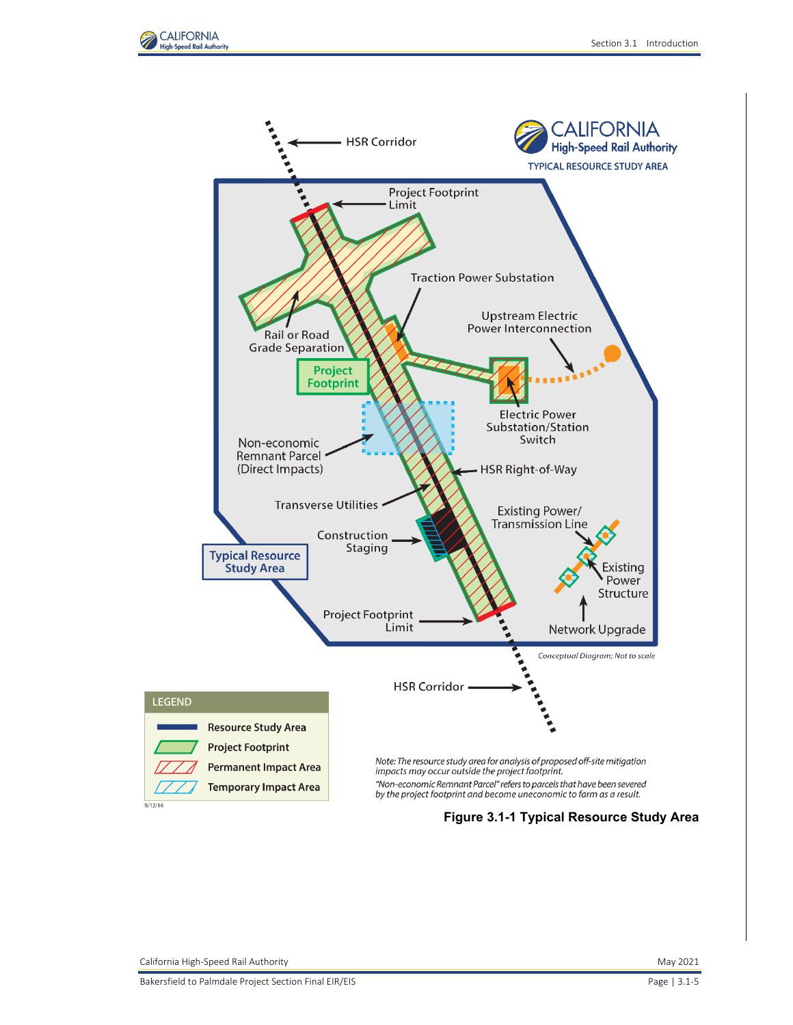



**Figure 3.1-1 Typical Resource Study Area**

<span id="page-4-0"></span> $9/12/16$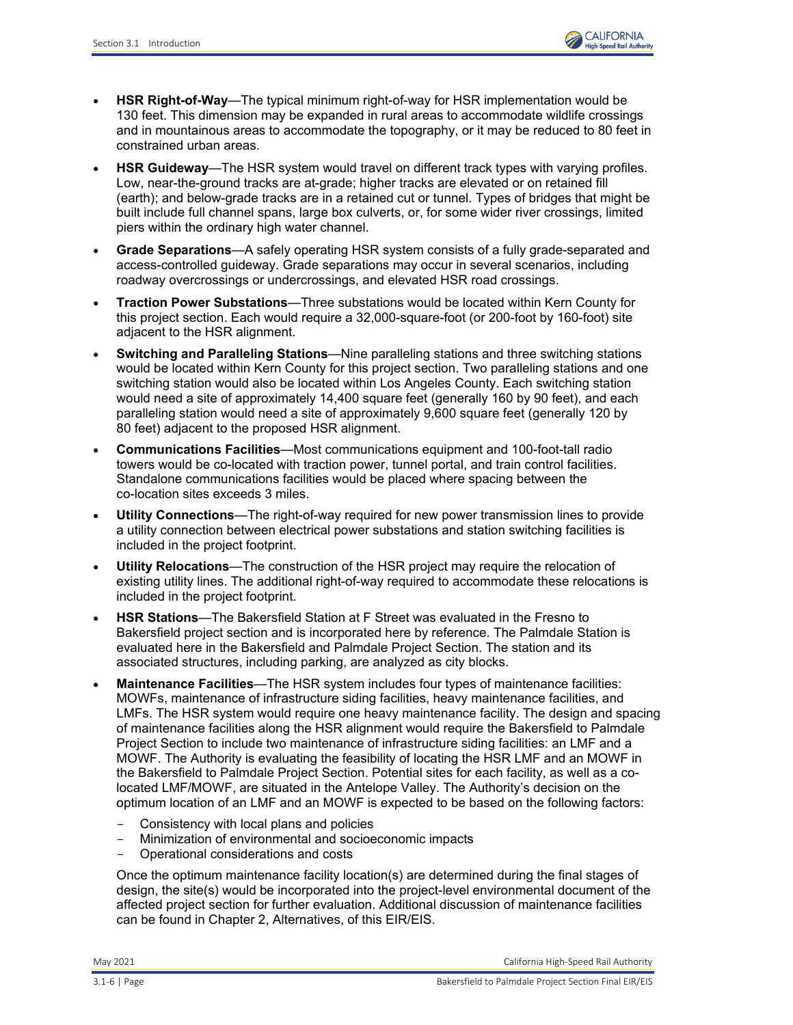- **HSR Right-of-Way**—The typical minimum right-of-way for HSR implementation would be 130 feet. This dimension may be expanded in rural areas to accommodate wildlife crossings and in mountainous areas to accommodate the topography, or it may be reduced to 80 feet in constrained urban areas.
- **HSR Guideway**—The HSR system would travel on different track types with varying profiles. Low, near-the-ground tracks are at-grade; higher tracks are elevated or on retained fill (earth); and below-grade tracks are in a retained cut or tunnel. Types of bridges that might be built include full channel spans, large box culverts, or, for some wider river crossings, limited piers within the ordinary high water channel.
- **Grade Separations**—A safely operating HSR system consists of a fully grade-separated and access-controlled guideway. Grade separations may occur in several scenarios, including roadway overcrossings or undercrossings, and elevated HSR road crossings.
- **Traction Power Substations**—Three substations would be located within Kern County for this project section. Each would require a 32,000-square-foot (or 200-foot by 160-foot) site adjacent to the HSR alignment.
- **Switching and Paralleling Stations**—Nine paralleling stations and three switching stations would be located within Kern County for this project section. Two paralleling stations and one switching station would also be located within Los Angeles County. Each switching station would need a site of approximately 14,400 square feet (generally 160 by 90 feet), and each paralleling station would need a site of approximately 9,600 square feet (generally 120 by 80 feet) adjacent to the proposed HSR alignment.
- **Communications Facilities**—Most communications equipment and 100-foot-tall radio towers would be co-located with traction power, tunnel portal, and train control facilities. Standalone communications facilities would be placed where spacing between the co-location sites exceeds 3 miles.
- **Utility Connections**—The right-of-way required for new power transmission lines to provide a utility connection between electrical power substations and station switching facilities is included in the project footprint.
- **Utility Relocations**—The construction of the HSR project may require the relocation of existing utility lines. The additional right-of-way required to accommodate these relocations is included in the project footprint.
- **HSR Stations**—The Bakersfield Station at F Street was evaluated in the Fresno to Bakersfield project section and is incorporated here by reference. The Palmdale Station is evaluated here in the Bakersfield and Palmdale Project Section. The station and its associated structures, including parking, are analyzed as city blocks.
- **Maintenance Facilities**—The HSR system includes four types of maintenance facilities: MOWFs, maintenance of infrastructure siding facilities, heavy maintenance facilities, and LMFs. The HSR system would require one heavy maintenance facility. The design and spacing of maintenance facilities along the HSR alignment would require the Bakersfield to Palmdale Project Section to include two maintenance of infrastructure siding facilities: an LMF and a MOWF. The Authority is evaluating the feasibility of locating the HSR LMF and an MOWF in the Bakersfield to Palmdale Project Section. Potential sites for each facility, as well as a colocated LMF/MOWF, are situated in the Antelope Valley. The Authority's decision on the optimum location of an LMF and an MOWF is expected to be based on the following factors:
	- Consistency with local plans and policies
	- Minimization of environmental and socioeconomic impacts<br>- Operational considerations and costs
	- Operational considerations and costs

Once the optimum maintenance facility location(s) are determined during the final stages of design, the site(s) would be incorporated into the project-level environmental document of the affected project section for further evaluation. Additional discussion of maintenance facilities can be found in Chapter 2, Alternatives, of this EIR/EIS.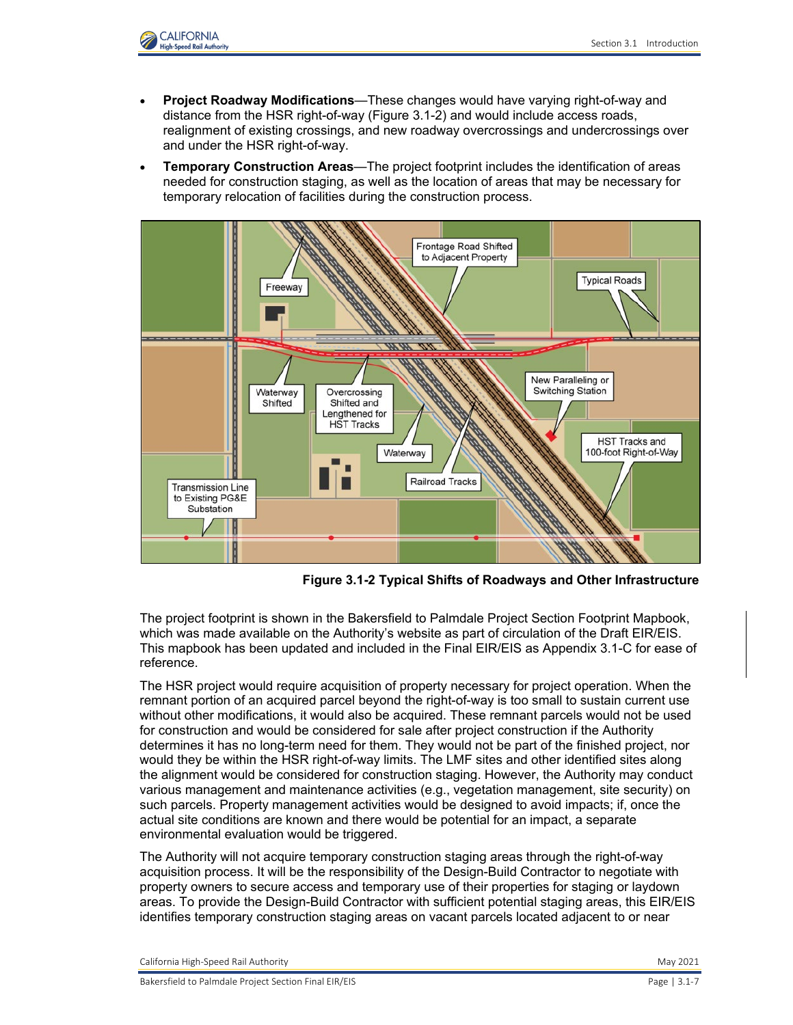

- **Project Roadway Modifications**—These changes would have varying right-of-way and distance from the HSR right-of-way [\(Figure 3.1-2\)](#page-6-0) and would include access roads, realignment of existing crossings, and new roadway overcrossings and undercrossings over and under the HSR right-of-way.
- **Temporary Construction Areas**—The project footprint includes the identification of areas needed for construction staging, as well as the location of areas that may be necessary for temporary relocation of facilities during the construction process.



**Figure 3.1-2 Typical Shifts of Roadways and Other Infrastructure**

<span id="page-6-0"></span>The project footprint is shown in the Bakersfield to Palmdale Project Section Footprint Mapbook, which was made available on the Authority's website as part of circulation of the Draft EIR/EIS. This mapbook has been updated and included in the Final EIR/EIS as Appendix 3.1-C for ease of reference.

The HSR project would require acquisition of property necessary for project operation. When the remnant portion of an acquired parcel beyond the right-of-way is too small to sustain current use without other modifications, it would also be acquired. These remnant parcels would not be used for construction and would be considered for sale after project construction if the Authority determines it has no long-term need for them. They would not be part of the finished project, nor would they be within the HSR right-of-way limits. The LMF sites and other identified sites along the alignment would be considered for construction staging. However, the Authority may conduct various management and maintenance activities (e.g., vegetation management, site security) on such parcels. Property management activities would be designed to avoid impacts; if, once the actual site conditions are known and there would be potential for an impact, a separate environmental evaluation would be triggered.

The Authority will not acquire temporary construction staging areas through the right-of-way acquisition process. It will be the responsibility of the Design-Build Contractor to negotiate with property owners to secure access and temporary use of their properties for staging or laydown areas. To provide the Design-Build Contractor with sufficient potential staging areas, this EIR/EIS identifies temporary construction staging areas on vacant parcels located adjacent to or near

California High-Speed Rail Authority **May 2021** 2021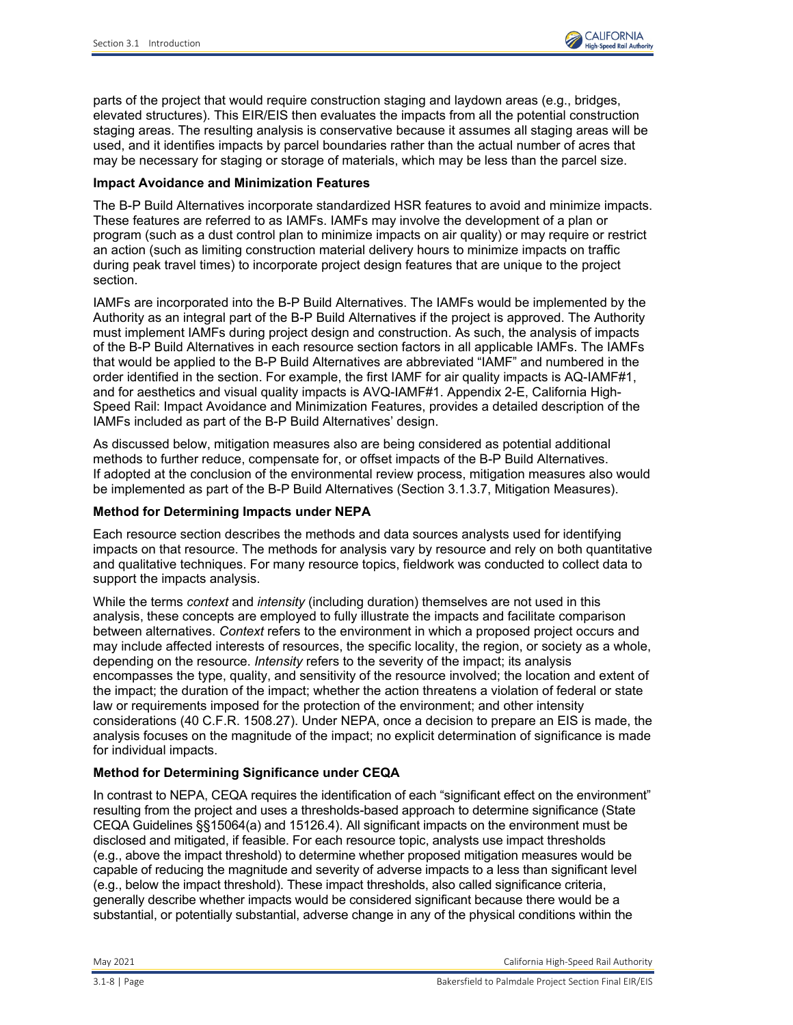parts of the project that would require construction staging and laydown areas (e.g., bridges, elevated structures). This EIR/EIS then evaluates the impacts from all the potential construction staging areas. The resulting analysis is conservative because it assumes all staging areas will be used, and it identifies impacts by parcel boundaries rather than the actual number of acres that may be necessary for staging or storage of materials, which may be less than the parcel size.

#### **Impact Avoidance and Minimization Features**

The B-P Build Alternatives incorporate standardized HSR features to avoid and minimize impacts. These features are referred to as IAMFs. IAMFs may involve the development of a plan or program (such as a dust control plan to minimize impacts on air quality) or may require or restrict an action (such as limiting construction material delivery hours to minimize impacts on traffic during peak travel times) to incorporate project design features that are unique to the project section.

IAMFs are incorporated into the B-P Build Alternatives. The IAMFs would be implemented by the Authority as an integral part of the B-P Build Alternatives if the project is approved. The Authority must implement IAMFs during project design and construction. As such, the analysis of impacts of the B-P Build Alternatives in each resource section factors in all applicable IAMFs. The IAMFs that would be applied to the B-P Build Alternatives are abbreviated "IAMF" and numbered in the order identified in the section. For example, the first IAMF for air quality impacts is AQ-IAMF#1, and for aesthetics and visual quality impacts is AVQ-IAMF#1. Appendix 2-E, California High-Speed Rail: Impact Avoidance and Minimization Features, provides a detailed description of the IAMFs included as part of the B-P Build Alternatives' design.

As discussed below, mitigation measures also are being considered as potential additional methods to further reduce, compensate for, or offset impacts of the B-P Build Alternatives. If adopted at the conclusion of the environmental review process, mitigation measures also would be implemented as part of the B-P Build Alternatives (Section 3.1.3.7, Mitigation Measures).

#### **Method for Determining Impacts under NEPA**

Each resource section describes the methods and data sources analysts used for identifying impacts on that resource. The methods for analysis vary by resource and rely on both quantitative and qualitative techniques. For many resource topics, fieldwork was conducted to collect data to support the impacts analysis.

While the terms *context* and *intensity* (including duration) themselves are not used in this analysis, these concepts are employed to fully illustrate the impacts and facilitate comparison between alternatives. *Context* refers to the environment in which a proposed project occurs and may include affected interests of resources, the specific locality, the region, or society as a whole, depending on the resource. *Intensity* refers to the severity of the impact; its analysis encompasses the type, quality, and sensitivity of the resource involved; the location and extent of the impact; the duration of the impact; whether the action threatens a violation of federal or state law or requirements imposed for the protection of the environment; and other intensity considerations (40 C.F.R. 1508.27). Under NEPA, once a decision to prepare an EIS is made, the analysis focuses on the magnitude of the impact; no explicit determination of significance is made for individual impacts.

### **Method for Determining Significance under CEQA**

In contrast to NEPA, CEQA requires the identification of each "significant effect on the environment" resulting from the project and uses a thresholds-based approach to determine significance (State CEQA Guidelines §§15064(a) and 15126.4). All significant impacts on the environment must be disclosed and mitigated, if feasible. For each resource topic, analysts use impact thresholds (e.g., above the impact threshold) to determine whether proposed mitigation measures would be capable of reducing the magnitude and severity of adverse impacts to a less than significant level (e.g., below the impact threshold). These impact thresholds, also called significance criteria, generally describe whether impacts would be considered significant because there would be a substantial, or potentially substantial, adverse change in any of the physical conditions within the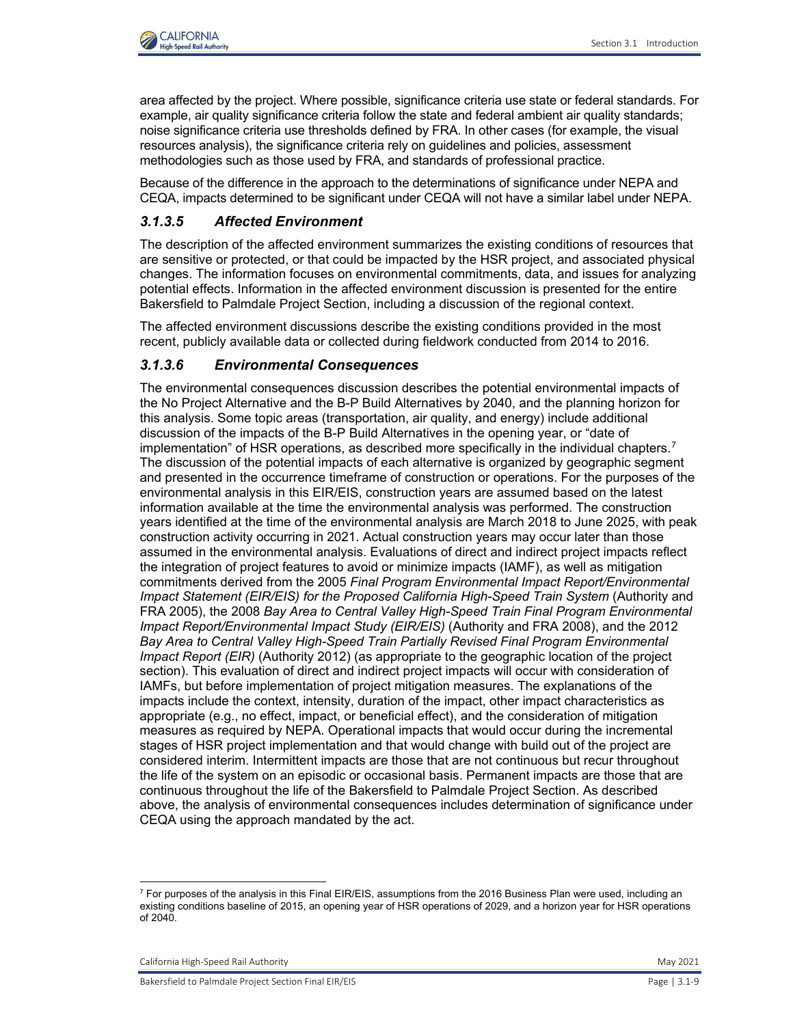

area affected by the project. Where possible, significance criteria use state or federal standards. For example, air quality significance criteria follow the state and federal ambient air quality standards; noise significance criteria use thresholds defined by FRA. In other cases (for example, the visual resources analysis), the significance criteria rely on guidelines and policies, assessment methodologies such as those used by FRA, and standards of professional practice.

Because of the difference in the approach to the determinations of significance under NEPA and CEQA, impacts determined to be significant under CEQA will not have a similar label under NEPA.

# *3.1.3.5 Affected Environment*

The description of the affected environment summarizes the existing conditions of resources that are sensitive or protected, or that could be impacted by the HSR project, and associated physical changes. The information focuses on environmental commitments, data, and issues for analyzing potential effects. Information in the affected environment discussion is presented for the entire Bakersfield to Palmdale Project Section, including a discussion of the regional context.

The affected environment discussions describe the existing conditions provided in the most recent, publicly available data or collected during fieldwork conducted from 2014 to 2016.

### *3.1.3.6 Environmental Consequences*

The environmental consequences discussion describes the potential environmental impacts of the No Project Alternative and the B-P Build Alternatives by 2040, and the planning horizon for this analysis. Some topic areas (transportation, air quality, and energy) include additional discussion of the impacts of the B-P Build Alternatives in the opening year, or "date of implementation" of HSR operations, as described more specifically in the individual chapters.<sup>[7](#page-8-0)</sup> The discussion of the potential impacts of each alternative is organized by geographic segment and presented in the occurrence timeframe of construction or operations. For the purposes of the environmental analysis in this EIR/EIS, construction years are assumed based on the latest information available at the time the environmental analysis was performed. The construction years identified at the time of the environmental analysis are March 2018 to June 2025, with peak construction activity occurring in 2021. Actual construction years may occur later than those assumed in the environmental analysis. Evaluations of direct and indirect project impacts reflect the integration of project features to avoid or minimize impacts (IAMF), as well as mitigation commitments derived from the 2005 *Final Program Environmental Impact Report/Environmental Impact Statement (EIR/EIS) for the Proposed California High-Speed Train System* (Authority and FRA 2005), the 2008 *Bay Area to Central Valley High-Speed Train Final Program Environmental Impact Report/Environmental Impact Study (EIR/EIS)* (Authority and FRA 2008), and the 2012 *Bay Area to Central Valley High-Speed Train Partially Revised Final Program Environmental Impact Report (EIR)* (Authority 2012) (as appropriate to the geographic location of the project section). This evaluation of direct and indirect project impacts will occur with consideration of IAMFs, but before implementation of project mitigation measures. The explanations of the impacts include the context, intensity, duration of the impact, other impact characteristics as appropriate (e.g., no effect, impact, or beneficial effect), and the consideration of mitigation measures as required by NEPA. Operational impacts that would occur during the incremental stages of HSR project implementation and that would change with build out of the project are considered interim. Intermittent impacts are those that are not continuous but recur throughout the life of the system on an episodic or occasional basis. Permanent impacts are those that are continuous throughout the life of the Bakersfield to Palmdale Project Section. As described above, the analysis of environmental consequences includes determination of significance under CEQA using the approach mandated by the act.

<span id="page-8-0"></span> $^7$  For purposes of the analysis in this Final EIR/EIS, assumptions from the 2016 Business Plan were used, including an existing conditions baseline of 2015, an opening year of HSR operations of 2029, and a horizon year for HSR operations of 2040.

California High-Speed Rail Authority May 2021 **May 2021**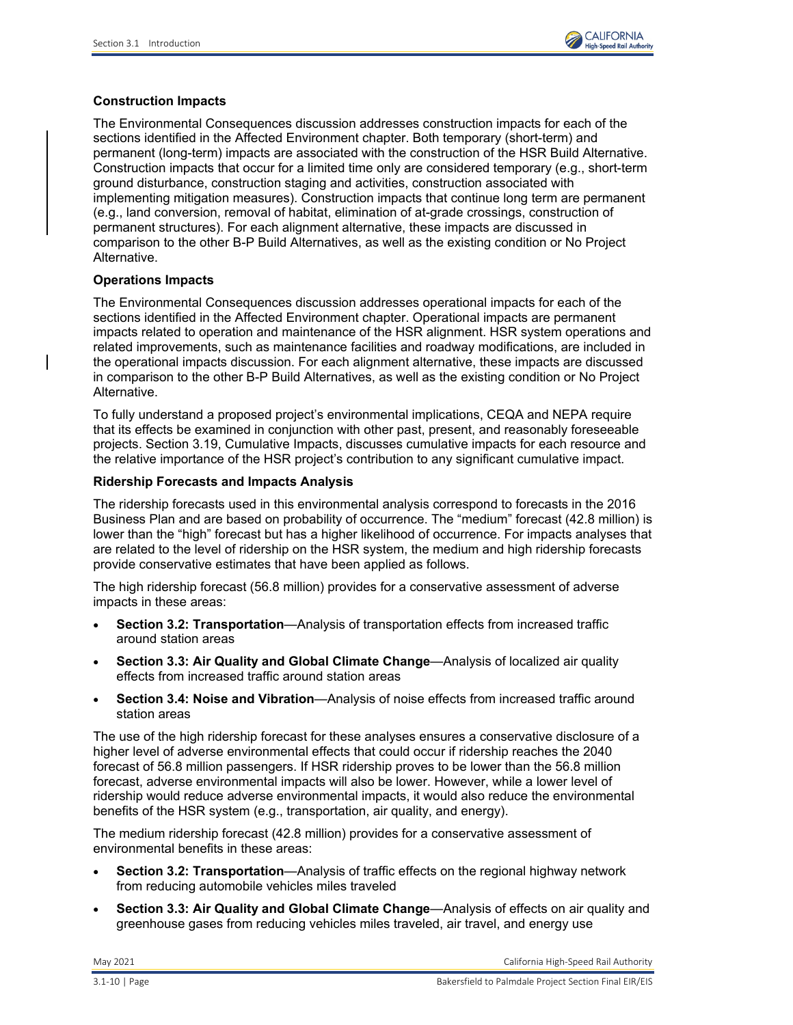

#### **Construction Impacts**

The Environmental Consequences discussion addresses construction impacts for each of the sections identified in the Affected Environment chapter. Both temporary (short-term) and permanent (long-term) impacts are associated with the construction of the HSR Build Alternative. Construction impacts that occur for a limited time only are considered temporary (e.g., short-term ground disturbance, construction staging and activities, construction associated with implementing mitigation measures). Construction impacts that continue long term are permanent (e.g., land conversion, removal of habitat, elimination of at-grade crossings, construction of permanent structures). For each alignment alternative, these impacts are discussed in comparison to the other B-P Build Alternatives, as well as the existing condition or No Project Alternative.

#### **Operations Impacts**

The Environmental Consequences discussion addresses operational impacts for each of the sections identified in the Affected Environment chapter. Operational impacts are permanent impacts related to operation and maintenance of the HSR alignment. HSR system operations and related improvements, such as maintenance facilities and roadway modifications, are included in the operational impacts discussion. For each alignment alternative, these impacts are discussed in comparison to the other B-P Build Alternatives, as well as the existing condition or No Project Alternative.

To fully understand a proposed project's environmental implications, CEQA and NEPA require that its effects be examined in conjunction with other past, present, and reasonably foreseeable projects. Section 3.19, Cumulative Impacts, discusses cumulative impacts for each resource and the relative importance of the HSR project's contribution to any significant cumulative impact.

#### **Ridership Forecasts and Impacts Analysis**

The ridership forecasts used in this environmental analysis correspond to forecasts in the 2016 Business Plan and are based on probability of occurrence. The "medium" forecast (42.8 million) is lower than the "high" forecast but has a higher likelihood of occurrence. For impacts analyses that are related to the level of ridership on the HSR system, the medium and high ridership forecasts provide conservative estimates that have been applied as follows.

The high ridership forecast (56.8 million) provides for a conservative assessment of adverse impacts in these areas:

- **Section 3.2: Transportation**—Analysis of transportation effects from increased traffic around station areas
- **Section 3.3: Air Quality and Global Climate Change**—Analysis of localized air quality effects from increased traffic around station areas
- **Section 3.4: Noise and Vibration**—Analysis of noise effects from increased traffic around station areas

The use of the high ridership forecast for these analyses ensures a conservative disclosure of a higher level of adverse environmental effects that could occur if ridership reaches the 2040 forecast of 56.8 million passengers. If HSR ridership proves to be lower than the 56.8 million forecast, adverse environmental impacts will also be lower. However, while a lower level of ridership would reduce adverse environmental impacts, it would also reduce the environmental benefits of the HSR system (e.g., transportation, air quality, and energy).

The medium ridership forecast (42.8 million) provides for a conservative assessment of environmental benefits in these areas:

- **Section 3.2: Transportation**—Analysis of traffic effects on the regional highway network from reducing automobile vehicles miles traveled
- **Section 3.3: Air Quality and Global Climate Change**—Analysis of effects on air quality and greenhouse gases from reducing vehicles miles traveled, air travel, and energy use

May 2021 California High-Speed Rail Authority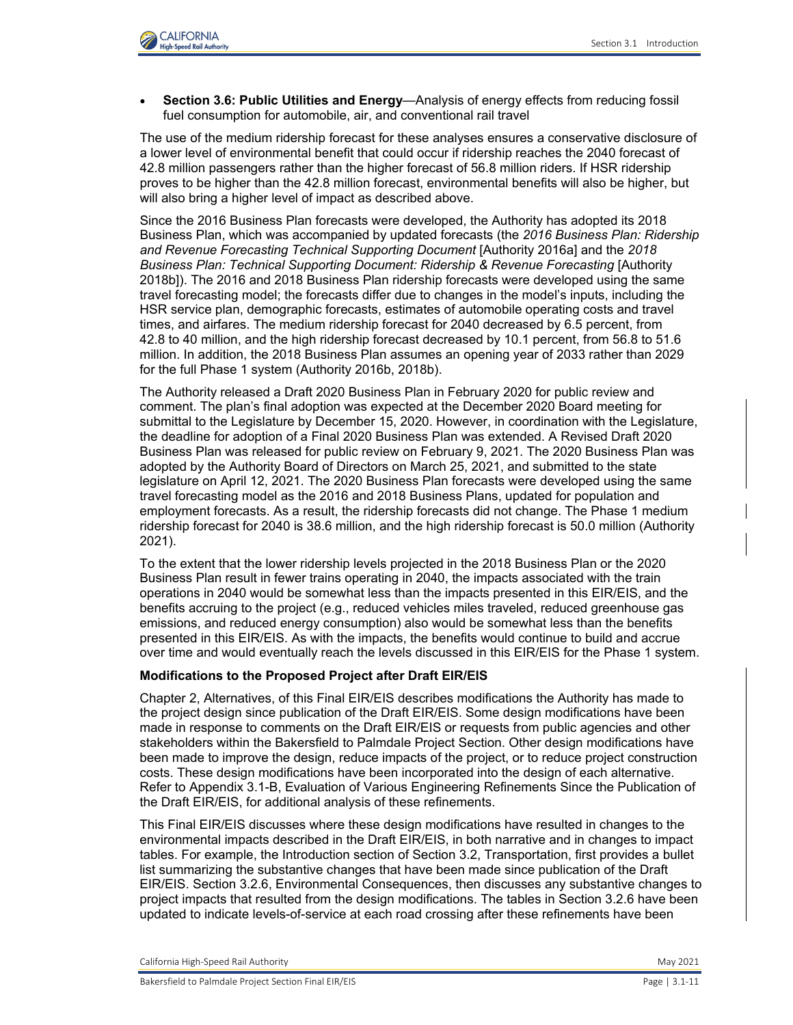

• **Section 3.6: Public Utilities and Energy**—Analysis of energy effects from reducing fossil fuel consumption for automobile, air, and conventional rail travel

The use of the medium ridership forecast for these analyses ensures a conservative disclosure of a lower level of environmental benefit that could occur if ridership reaches the 2040 forecast of 42.8 million passengers rather than the higher forecast of 56.8 million riders. If HSR ridership proves to be higher than the 42.8 million forecast, environmental benefits will also be higher, but will also bring a higher level of impact as described above.

Since the 2016 Business Plan forecasts were developed, the Authority has adopted its 2018 Business Plan, which was accompanied by updated forecasts (the *2016 Business Plan: Ridership and Revenue Forecasting Technical Supporting Document* [Authority 2016a] and the *2018 Business Plan: Technical Supporting Document: Ridership & Revenue Forecasting* [Authority 2018b]). The 2016 and 2018 Business Plan ridership forecasts were developed using the same travel forecasting model; the forecasts differ due to changes in the model's inputs, including the HSR service plan, demographic forecasts, estimates of automobile operating costs and travel times, and airfares. The medium ridership forecast for 2040 decreased by 6.5 percent, from 42.8 to 40 million, and the high ridership forecast decreased by 10.1 percent, from 56.8 to 51.6 million. In addition, the 2018 Business Plan assumes an opening year of 2033 rather than 2029 for the full Phase 1 system (Authority 2016b, 2018b).

The Authority released a Draft 2020 Business Plan in February 2020 for public review and comment. The plan's final adoption was expected at the December 2020 Board meeting for submittal to the Legislature by December 15, 2020. However, in coordination with the Legislature, the deadline for adoption of a Final 2020 Business Plan was extended. A Revised Draft 2020 Business Plan was released for public review on February 9, 2021. The 2020 Business Plan was adopted by the Authority Board of Directors on March 25, 2021, and submitted to the state legislature on April 12, 2021. The 2020 Business Plan forecasts were developed using the same travel forecasting model as the 2016 and 2018 Business Plans, updated for population and employment forecasts. As a result, the ridership forecasts did not change. The Phase 1 medium ridership forecast for 2040 is 38.6 million, and the high ridership forecast is 50.0 million (Authority 2021).

To the extent that the lower ridership levels projected in the 2018 Business Plan or the 2020 Business Plan result in fewer trains operating in 2040, the impacts associated with the train operations in 2040 would be somewhat less than the impacts presented in this EIR/EIS, and the benefits accruing to the project (e.g., reduced vehicles miles traveled, reduced greenhouse gas emissions, and reduced energy consumption) also would be somewhat less than the benefits presented in this EIR/EIS. As with the impacts, the benefits would continue to build and accrue over time and would eventually reach the levels discussed in this EIR/EIS for the Phase 1 system.

#### **Modifications to the Proposed Project after Draft EIR/EIS**

Chapter 2, Alternatives, of this Final EIR/EIS describes modifications the Authority has made to the project design since publication of the Draft EIR/EIS. Some design modifications have been made in response to comments on the Draft EIR/EIS or requests from public agencies and other stakeholders within the Bakersfield to Palmdale Project Section. Other design modifications have been made to improve the design, reduce impacts of the project, or to reduce project construction costs. These design modifications have been incorporated into the design of each alternative. Refer to Appendix 3.1-B, Evaluation of Various Engineering Refinements Since the Publication of the Draft EIR/EIS, for additional analysis of these refinements.

This Final EIR/EIS discusses where these design modifications have resulted in changes to the environmental impacts described in the Draft EIR/EIS, in both narrative and in changes to impact tables. For example, the Introduction section of Section 3.2, Transportation, first provides a bullet list summarizing the substantive changes that have been made since publication of the Draft EIR/EIS. Section 3.2.6, Environmental Consequences, then discusses any substantive changes to project impacts that resulted from the design modifications. The tables in Section 3.2.6 have been updated to indicate levels-of-service at each road crossing after these refinements have been

California High-Speed Rail Authority May 2021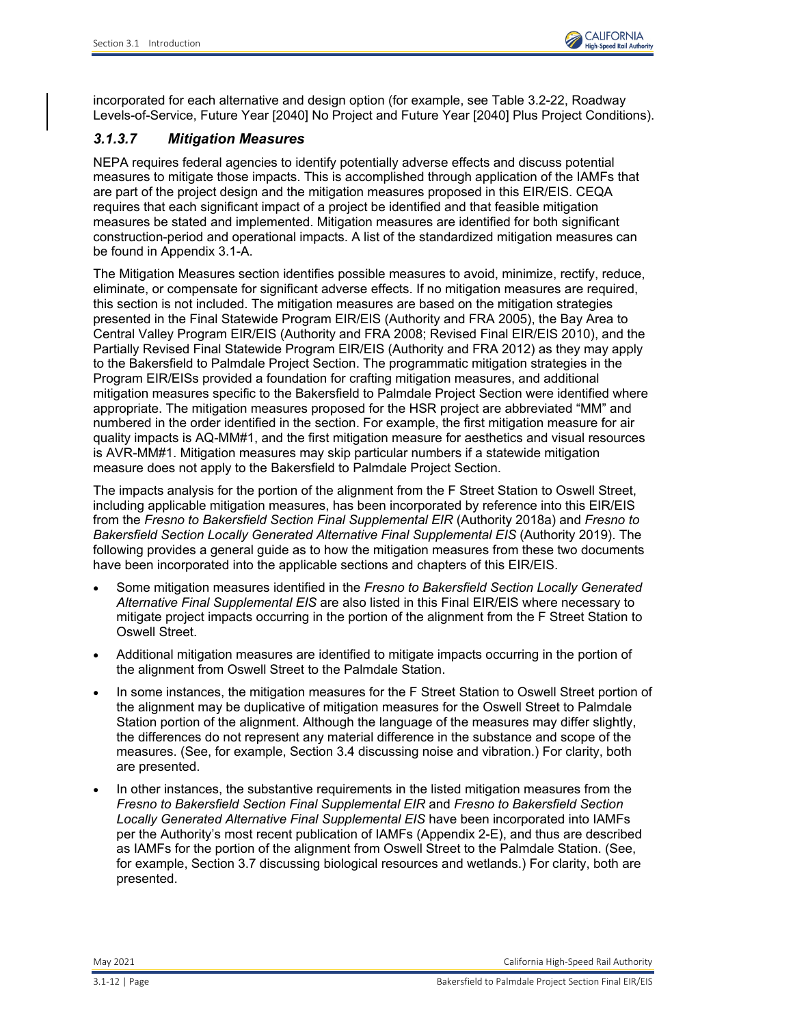incorporated for each alternative and design option (for example, see Table 3.2-22, Roadway Levels-of-Service, Future Year [2040] No Project and Future Year [2040] Plus Project Conditions).

# *3.1.3.7 Mitigation Measures*

NEPA requires federal agencies to identify potentially adverse effects and discuss potential measures to mitigate those impacts. This is accomplished through application of the IAMFs that are part of the project design and the mitigation measures proposed in this EIR/EIS. CEQA requires that each significant impact of a project be identified and that feasible mitigation measures be stated and implemented. Mitigation measures are identified for both significant construction-period and operational impacts. A list of the standardized mitigation measures can be found in Appendix 3.1-A.

The Mitigation Measures section identifies possible measures to avoid, minimize, rectify, reduce, eliminate, or compensate for significant adverse effects. If no mitigation measures are required, this section is not included. The mitigation measures are based on the mitigation strategies presented in the Final Statewide Program EIR/EIS (Authority and FRA 2005), the Bay Area to Central Valley Program EIR/EIS (Authority and FRA 2008; Revised Final EIR/EIS 2010), and the Partially Revised Final Statewide Program EIR/EIS (Authority and FRA 2012) as they may apply to the Bakersfield to Palmdale Project Section. The programmatic mitigation strategies in the Program EIR/EISs provided a foundation for crafting mitigation measures, and additional mitigation measures specific to the Bakersfield to Palmdale Project Section were identified where appropriate. The mitigation measures proposed for the HSR project are abbreviated "MM" and numbered in the order identified in the section. For example, the first mitigation measure for air quality impacts is AQ-MM#1, and the first mitigation measure for aesthetics and visual resources is AVR-MM#1. Mitigation measures may skip particular numbers if a statewide mitigation measure does not apply to the Bakersfield to Palmdale Project Section.

The impacts analysis for the portion of the alignment from the F Street Station to Oswell Street, including applicable mitigation measures, has been incorporated by reference into this EIR/EIS from the *Fresno to Bakersfield Section Final Supplemental EIR* (Authority 2018a) and *Fresno to Bakersfield Section Locally Generated Alternative Final Supplemental EIS* (Authority 2019). The following provides a general guide as to how the mitigation measures from these two documents have been incorporated into the applicable sections and chapters of this EIR/EIS.

- Some mitigation measures identified in the *Fresno to Bakersfield Section Locally Generated Alternative Final Supplemental EIS* are also listed in this Final EIR/EIS where necessary to mitigate project impacts occurring in the portion of the alignment from the F Street Station to Oswell Street.
- Additional mitigation measures are identified to mitigate impacts occurring in the portion of the alignment from Oswell Street to the Palmdale Station.
- In some instances, the mitigation measures for the F Street Station to Oswell Street portion of the alignment may be duplicative of mitigation measures for the Oswell Street to Palmdale Station portion of the alignment. Although the language of the measures may differ slightly, the differences do not represent any material difference in the substance and scope of the measures. (See, for example, Section 3.4 discussing noise and vibration.) For clarity, both are presented.
- In other instances, the substantive requirements in the listed mitigation measures from the *Fresno to Bakersfield Section Final Supplemental EIR* and *Fresno to Bakersfield Section Locally Generated Alternative Final Supplemental EIS* have been incorporated into IAMFs per the Authority's most recent publication of IAMFs (Appendix 2-E), and thus are described as IAMFs for the portion of the alignment from Oswell Street to the Palmdale Station. (See, for example, Section 3.7 discussing biological resources and wetlands.) For clarity, both are presented.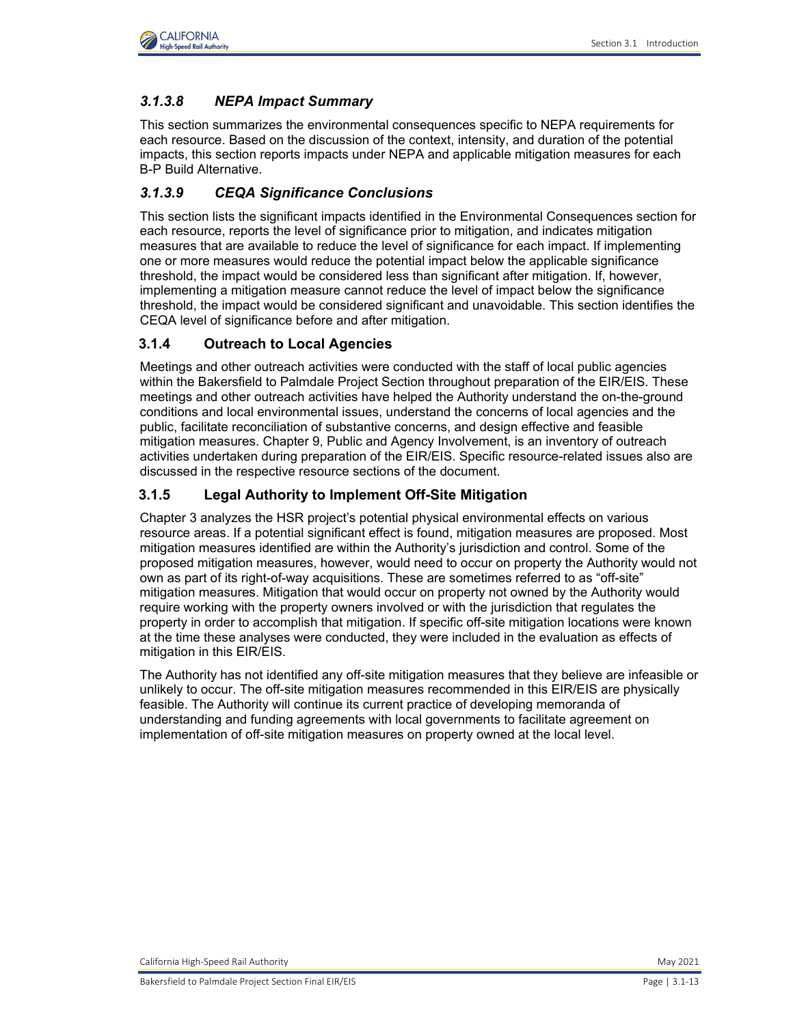

# *3.1.3.8 NEPA Impact Summary*

This section summarizes the environmental consequences specific to NEPA requirements for each resource. Based on the discussion of the context, intensity, and duration of the potential impacts, this section reports impacts under NEPA and applicable mitigation measures for each B-P Build Alternative.

# *3.1.3.9 CEQA Significance Conclusions*

This section lists the significant impacts identified in the Environmental Consequences section for each resource, reports the level of significance prior to mitigation, and indicates mitigation measures that are available to reduce the level of significance for each impact. If implementing one or more measures would reduce the potential impact below the applicable significance threshold, the impact would be considered less than significant after mitigation. If, however, implementing a mitigation measure cannot reduce the level of impact below the significance threshold, the impact would be considered significant and unavoidable. This section identifies the CEQA level of significance before and after mitigation.

## **3.1.4 Outreach to Local Agencies**

Meetings and other outreach activities were conducted with the staff of local public agencies within the Bakersfield to Palmdale Project Section throughout preparation of the EIR/EIS. These meetings and other outreach activities have helped the Authority understand the on-the-ground conditions and local environmental issues, understand the concerns of local agencies and the public, facilitate reconciliation of substantive concerns, and design effective and feasible mitigation measures. Chapter 9, Public and Agency Involvement, is an inventory of outreach activities undertaken during preparation of the EIR/EIS. Specific resource-related issues also are discussed in the respective resource sections of the document.

# **3.1.5 Legal Authority to Implement Off-Site Mitigation**

Chapter 3 analyzes the HSR project's potential physical environmental effects on various resource areas. If a potential significant effect is found, mitigation measures are proposed. Most mitigation measures identified are within the Authority's jurisdiction and control. Some of the proposed mitigation measures, however, would need to occur on property the Authority would not own as part of its right-of-way acquisitions. These are sometimes referred to as "off-site" mitigation measures. Mitigation that would occur on property not owned by the Authority would require working with the property owners involved or with the jurisdiction that regulates the property in order to accomplish that mitigation. If specific off-site mitigation locations were known at the time these analyses were conducted, they were included in the evaluation as effects of mitigation in this EIR/EIS.

The Authority has not identified any off-site mitigation measures that they believe are infeasible or unlikely to occur. The off-site mitigation measures recommended in this EIR/EIS are physically feasible. The Authority will continue its current practice of developing memoranda of understanding and funding agreements with local governments to facilitate agreement on implementation of off-site mitigation measures on property owned at the local level.

California High-Speed Rail Authority May 2021